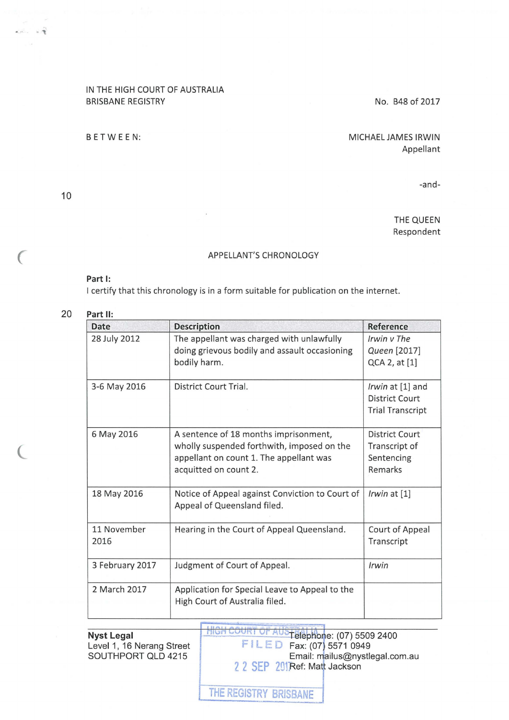## IN THE HIGH COURT OF AUSTRALIA BRISBANE REGISTRY

## BETWEEN:

No. B48 of 2017

MICHAEL JAMES IRWIN Appellant

-and-

THE QUEEN Respondent

## APPELLANT'S CHRONOLOGY

## **Part 1:**

I certify that this chronology is in a form suitable for publication on the internet.

| 20 | Part II: |  |
|----|----------|--|
|    |          |  |

10

(

 $20 - 19$ 

 $\subset$ 

| <b>Date</b>         | <b>Description</b>                                                                                                                                      | Reference                                                     |
|---------------------|---------------------------------------------------------------------------------------------------------------------------------------------------------|---------------------------------------------------------------|
| 28 July 2012        | The appellant was charged with unlawfully<br>doing grievous bodily and assault occasioning<br>bodily harm.                                              | Irwin v The<br>Queen [2017]<br>QCA 2, at [1]                  |
| 3-6 May 2016        | District Court Trial.                                                                                                                                   | Irwin at [1] and<br>District Court<br><b>Trial Transcript</b> |
| 6 May 2016          | A sentence of 18 months imprisonment,<br>wholly suspended forthwith, imposed on the<br>appellant on count 1. The appellant was<br>acquitted on count 2. | District Court<br>Transcript of<br>Sentencing<br>Remarks      |
| 18 May 2016         | Notice of Appeal against Conviction to Court of<br>Appeal of Queensland filed.                                                                          | Irwin at $[1]$                                                |
| 11 November<br>2016 | Hearing in the Court of Appeal Queensland.                                                                                                              | Court of Appeal<br>Transcript                                 |
| 3 February 2017     | Judgment of Court of Appeal.                                                                                                                            | Irwin                                                         |
| 2 March 2017        | Application for Special Leave to Appeal to the<br>High Court of Australia filed.                                                                        |                                                               |

**Nyst Legal**  Level 1, 16 Nerang Street SOUTHPORT QLD 4215

**HIGH COURT OF AUS FRANCISE: (07) 5509 2400 FILED Fax: (07) 5571 0949** Email: mailus@nystlegal.com.au

2 2 SEP 201 Ref: Matt Jackson

THE REGISTRY BRISBANE